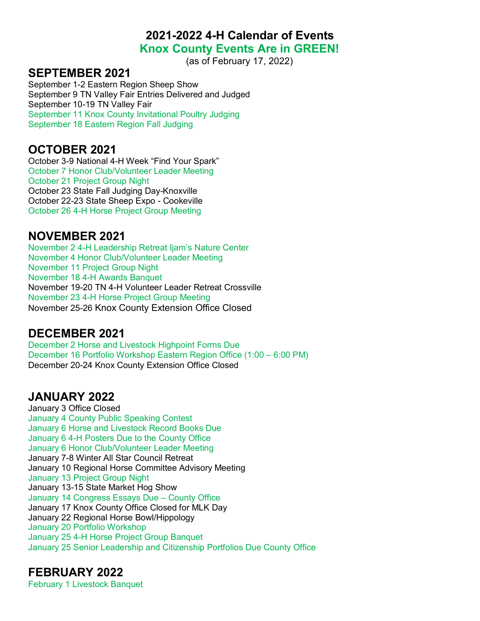**2021-2022 4-H Calendar of Events**

### **Knox County Events Are in GREEN!**

(as of February 17, 2022)

#### **SEPTEMBER 2021**

September 1-2 Eastern Region Sheep Show September 9 TN Valley Fair Entries Delivered and Judged September 10-19 TN Valley Fair September 11 Knox County Invitational Poultry Judging September 18 Eastern Region Fall Judging

### **OCTOBER 2021**

October 3-9 National 4-H Week "Find Your Spark" October 7 Honor Club/Volunteer Leader Meeting October 21 Project Group Night October 23 State Fall Judging Day-Knoxville October 22-23 State Sheep Expo - Cookeville October 26 4-H Horse Project Group Meeting

### **NOVEMBER 2021**

November 2 4-H Leadership Retreat Ijam's Nature Center November 4 Honor Club/Volunteer Leader Meeting November 11 Project Group Night November 18 4-H Awards Banquet November 19-20 TN 4-H Volunteer Leader Retreat Crossville November 23 4-H Horse Project Group Meeting November 25-26 Knox County Extension Office Closed

## **DECEMBER 2021**

December 2 Horse and Livestock Highpoint Forms Due December 16 Portfolio Workshop Eastern Region Office (1:00 – 6:00 PM) December 20-24 Knox County Extension Office Closed

## **JANUARY 2022**

January 3 Office Closed January 4 County Public Speaking Contest January 6 Horse and Livestock Record Books Due January 6 4-H Posters Due to the County Office January 6 Honor Club/Volunteer Leader Meeting January 7-8 Winter All Star Council Retreat January 10 Regional Horse Committee Advisory Meeting January 13 Project Group Night January 13-15 State Market Hog Show January 14 Congress Essays Due – County Office January 17 Knox County Office Closed for MLK Day January 22 Regional Horse Bowl/Hippology January 20 Portfolio Workshop January 25 4-H Horse Project Group Banquet January 25 Senior Leadership and Citizenship Portfolios Due County Office

## **FEBRUARY 2022**

February 1 Livestock Banquet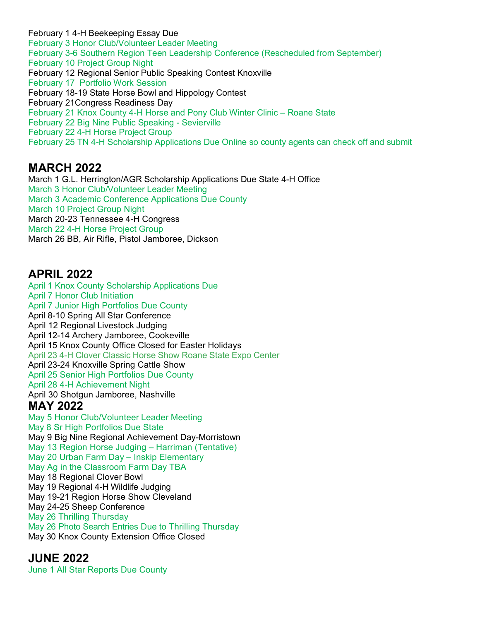February 1 4-H Beekeeping Essay Due February 3 Honor Club/Volunteer Leader Meeting February 3-6 Southern Region Teen Leadership Conference (Rescheduled from September) February 10 Project Group Night February 12 Regional Senior Public Speaking Contest Knoxville February 17 Portfolio Work Session February 18-19 State Horse Bowl and Hippology Contest February 21Congress Readiness Day February 21 Knox County 4-H Horse and Pony Club Winter Clinic – Roane State February 22 Big Nine Public Speaking - Sevierville February 22 4-H Horse Project Group February 25 TN 4-H Scholarship Applications Due Online so county agents can check off and submit

## **MARCH 2022**

March 1 G.L. Herrington/AGR Scholarship Applications Due State 4-H Office March 3 Honor Club/Volunteer Leader Meeting March 3 Academic Conference Applications Due County March 10 Project Group Night March 20-23 Tennessee 4-H Congress March 22 4-H Horse Project Group March 26 BB, Air Rifle, Pistol Jamboree, Dickson

## **APRIL 2022**

April 1 Knox County Scholarship Applications Due April 7 Honor Club Initiation April 7 Junior High Portfolios Due County April 8-10 Spring All Star Conference April 12 Regional Livestock Judging April 12-14 Archery Jamboree, Cookeville April 15 Knox County Office Closed for Easter Holidays April 23 4-H Clover Classic Horse Show Roane State Expo Center April 23-24 Knoxville Spring Cattle Show April 25 Senior High Portfolios Due County April 28 4-H Achievement Night April 30 Shotgun Jamboree, Nashville **MAY 2022**  May 5 Honor Club/Volunteer Leader Meeting May 8 Sr High Portfolios Due State May 9 Big Nine Regional Achievement Day-Morristown May 13 Region Horse Judging – Harriman (Tentative) May 20 Urban Farm Day – Inskip Elementary May Ag in the Classroom Farm Day TBA May 18 Regional Clover Bowl May 19 Regional 4-H Wildlife Judging May 19-21 Region Horse Show Cleveland May 24-25 Sheep Conference May 26 Thrilling Thursday May 26 Photo Search Entries Due to Thrilling Thursday May 30 Knox County Extension Office Closed

#### **JUNE 2022**

June 1 All Star Reports Due County